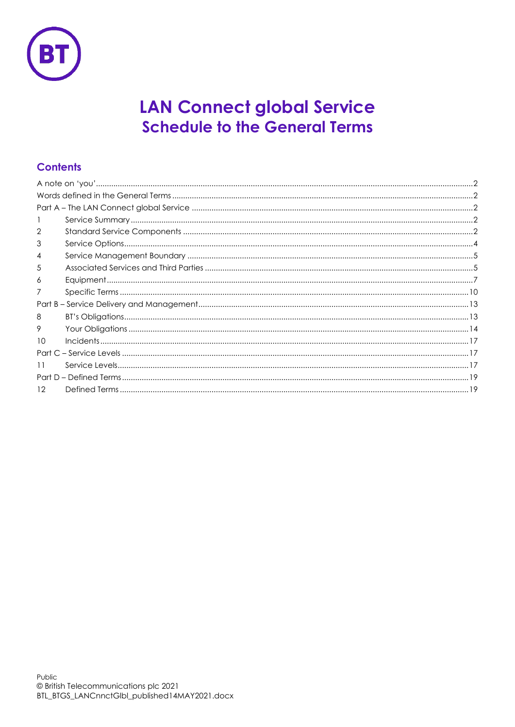

# **LAN Connect global Service Schedule to the General Terms**

## **Contents**

| 2               |  |
|-----------------|--|
| 3               |  |
| 4               |  |
| 5               |  |
| 6               |  |
|                 |  |
|                 |  |
| 8               |  |
| 9               |  |
| 10              |  |
|                 |  |
| 11              |  |
|                 |  |
| 12 <sup>°</sup> |  |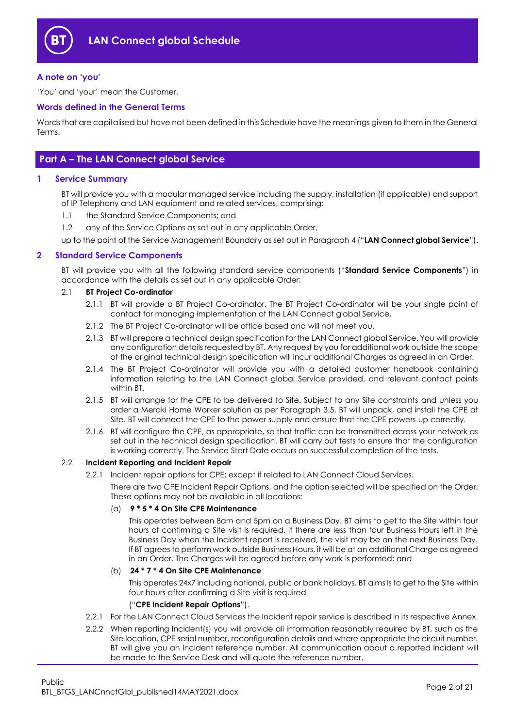

## <span id="page-1-0"></span>**A note on 'you'**

'You' and 'your' mean the Customer.

## <span id="page-1-1"></span>**Words defined in the General Terms**

Words that are capitalised but have not been defined in this Schedule have the meanings given to them in the General Terms.

## <span id="page-1-2"></span>**Part A – The LAN Connect global Service**

## <span id="page-1-3"></span>**1 Service Summary**

BT will provide you with a modular managed service including the supply, installation (if applicable) and support of IP Telephony and LAN equipment and related services, comprising:

- 1.1 the Standard Service Components; and
- 1.2 any of the Service Options as set out in any applicable Order,
- up to the point of the Service Management Boundary as set out in Paragraph [4](#page-4-0) ("**LAN Connect global Service**").

#### <span id="page-1-4"></span>**2 Standard Service Components**

BT will provide you with all the following standard service components ("**Standard Service Components**") in accordance with the details as set out in any applicable Order:

#### <span id="page-1-5"></span>2.1 **BT Project Co-ordinator**

- 2.1.1 BT will provide a BT Project Co-ordinator. The BT Project Co-ordinator will be your single point of contact for managing implementation of the LAN Connect global Service.
- 2.1.2 The BT Project Co-ordinator will be office based and will not meet you.
- 2.1.3 BT will prepare a technical design specification for the LAN Connect alobal Service. You will provide any configuration details requested by BT. Any request by you for additional work outside the scope of the original technical design specification will incur additional Charges as agreed in an Order.
- 2.1.4 The BT Project Co-ordinator will provide you with a detailed customer handbook containing information relating to the LAN Connect global Service provided, and relevant contact points within BT.
- 2.1.5 BT will arrange for the CPE to be delivered to Site. Subject to any Site constraints and unless you order a Meraki Home Worker solution as per Paragraph [3.5,](#page-4-2) BT will unpack, and install the CPE at Site. BT will connect the CPE to the power supply and ensure that the CPE powers up correctly.
- 2.1.6 BT will configure the CPE, as appropriate, so that traffic can be transmitted across your network as set out in the technical design specification. BT will carry out tests to ensure that the configuration is working correctly. The Service Start Date occurs on successful completion of the tests.

#### 2.2 **Incident Reporting and Incident Repair**

2.2.1 Incident repair options for CPE; except if related to LAN Connect Cloud Services.

There are two CPE Incident Repair Options, and the option selected will be specified on the Order. These options may not be available in all locations:

#### (a) **9 \* 5 \* 4 On Site CPE Maintenance**

This operates between 8am and 5pm on a Business Day. BT aims to get to the Site within four hours of confirming a Site visit is required. If there are less than four Business Hours left in the Business Day when the Incident report is received, the visit may be on the next Business Day. If BT agrees to perform work outside Business Hours, it will be at an additional Charge as agreed in an Order. The Charges will be agreed before any work is performed; and

### (b) **24 \* 7 \* 4 On Site CPE Maintenance**

This operates 24x7 including national, public or bank holidays. BT aims is to get to the Site within four hours after confirming a Site visit is required

#### ("**CPE Incident Repair Options**").

- 2.2.1 For the LAN Connect Cloud Services the Incident repair service is described in its respective Annex.
- 2.2.2 When reporting Incident(s) you will provide all information reasonably required by BT, such as the Site location, CPE serial number, reconfiguration details and where appropriate the circuit number. BT will give you an Incident reference number. All communication about a reported Incident will be made to the Service Desk and will quote the reference number.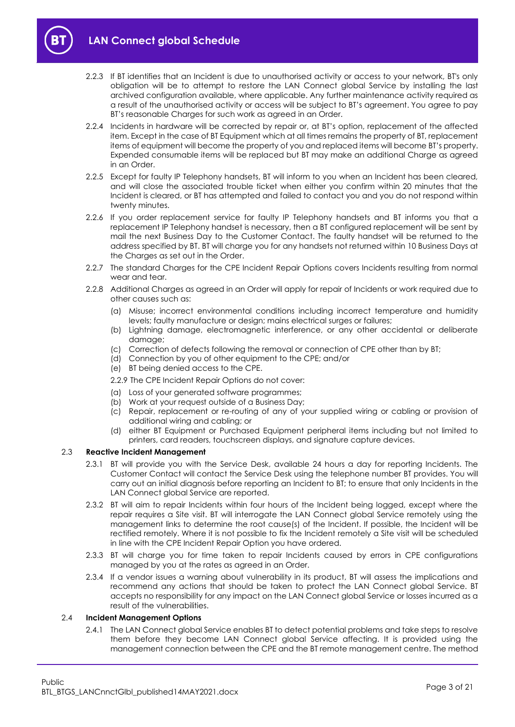



- 2.2.3 If BT identifies that an Incident is due to unauthorised activity or access to your network, BT's only obligation will be to attempt to restore the LAN Connect global Service by installing the last archived configuration available, where applicable. Any further maintenance activity required as a result of the unauthorised activity or access will be subject to BT's agreement. You agree to pay BT's reasonable Charges for such work as agreed in an Order.
- 2.2.4 Incidents in hardware will be corrected by repair or, at BT's option, replacement of the affected item. Except in the case of BT Equipment which at all times remains the property of BT, replacement items of equipment will become the property of you and replaced items will become BT's property. Expended consumable items will be replaced but BT may make an additional Charge as agreed in an Order.
- 2.2.5 Except for faulty IP Telephony handsets, BT will inform to you when an Incident has been cleared, and will close the associated trouble ticket when either you confirm within 20 minutes that the Incident is cleared, or BT has attempted and failed to contact you and you do not respond within twenty minutes.
- 2.2.6 If you order replacement service for faulty IP Telephony handsets and BT informs you that a replacement IP Telephony handset is necessary, then a BT configured replacement will be sent by mail the next Business Day to the Customer Contact. The faulty handset will be returned to the address specified by BT. BT will charge you for any handsets not returned within 10 Business Days at the Charges as set out in the Order.
- 2.2.7 The standard Charges for the CPE Incident Repair Options covers Incidents resulting from normal wear and tear.
- 2.2.8 Additional Charges as agreed in an Order will apply for repair of Incidents or work required due to other causes such as:
	- (a) Misuse; incorrect environmental conditions including incorrect temperature and humidity levels; faulty manufacture or design; mains electrical surges or failures;
	- (b) Lightning damage, electromagnetic interference, or any other accidental or deliberate damage;
	- (c) Correction of defects following the removal or connection of CPE other than by BT;
	- (d) Connection by you of other equipment to the CPE; and/or
	- (e) BT being denied access to the CPE.

2.2.9 The CPE Incident Repair Options do not cover:

- (a) Loss of your generated software programmes;
- (b) Work at your request outside of a Business Day;
- (c) Repair, replacement or re-routing of any of your supplied wiring or cabling or provision of additional wiring and cabling; or
- (d) either BT Equipment or Purchased Equipment peripheral items including but not limited to printers, card readers, touchscreen displays, and signature capture devices.

#### 2.3 **Reactive Incident Management**

- 2.3.1 BT will provide you with the Service Desk, available 24 hours a day for reporting Incidents. The Customer Contact will contact the Service Desk using the telephone number BT provides. You will carry out an initial diagnosis before reporting an Incident to BT; to ensure that only Incidents in the LAN Connect global Service are reported.
- 2.3.2 BT will aim to repair Incidents within four hours of the Incident being logged, except where the repair requires a Site visit. BT will interrogate the LAN Connect global Service remotely using the management links to determine the root cause(s) of the Incident. If possible, the Incident will be rectified remotely. Where it is not possible to fix the Incident remotely a Site visit will be scheduled in line with the CPE Incident Repair Option you have ordered.
- 2.3.3 BT will charge you for time taken to repair Incidents caused by errors in CPE configurations managed by you at the rates as agreed in an Order.
- 2.3.4 If a vendor issues a warning about vulnerability in its product, BT will assess the implications and recommend any actions that should be taken to protect the LAN Connect global Service. BT accepts no responsibility for any impact on the LAN Connect global Service or losses incurred as a result of the vulnerabilities.

#### 2.4 **Incident Management Options**

2.4.1 The LAN Connect global Service enables BT to detect potential problems and take steps to resolve them before they become LAN Connect global Service affecting. It is provided using the management connection between the CPE and the BT remote management centre. The method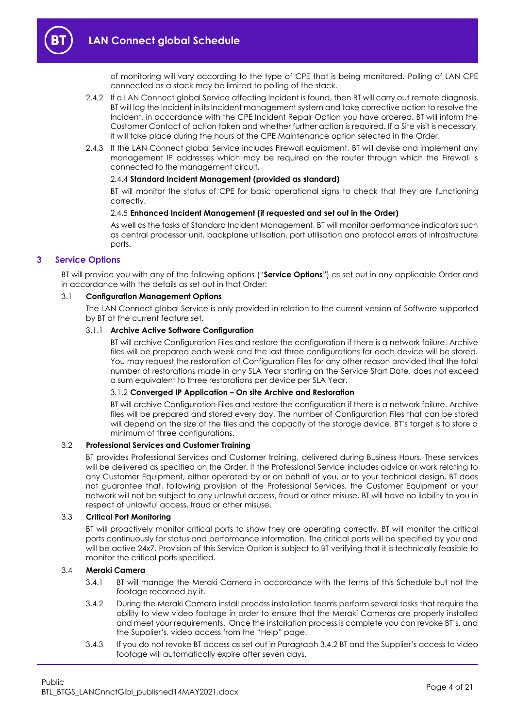

of monitoring will vary according to the type of CPE that is being monitored. Polling of LAN CPE connected as a stack may be limited to polling of the stack.

- 2.4.2 If a LAN Connect global Service affecting Incident is found, then BT will carry out remote diagnosis. BT will log the Incident in its Incident management system and take corrective action to resolve the Incident, in accordance with the CPE Incident Repair Option you have ordered. BT will inform the Customer Contact of action taken and whether further action is required. If a Site visit is necessary, it will take place during the hours of the CPE Maintenance option selected in the Order.
- <span id="page-3-3"></span>2.4.3 If the LAN Connect global Service includes Firewall equipment, BT will devise and implement any management IP addresses which may be required on the router through which the Firewall is connected to the management circuit.

#### 2.4.4 **Standard Incident Management (provided as standard)**

BT will monitor the status of CPE for basic operational signs to check that they are functioning correctly.

#### 2.4.5 **Enhanced Incident Management (if requested and set out in the Order)**

As well as the tasks of Standard Incident Management, BT will monitor performance indicators such as central processor unit, backplane utilisation, port utilisation and protocol errors of infrastructure ports.

#### <span id="page-3-2"></span><span id="page-3-0"></span>**3 Service Options**

BT will provide you with any of the following options ("**Service Options**") as set out in any applicable Order and in accordance with the details as set out in that Order:

#### 3.1 **Configuration Management Options**

The LAN Connect global Service is only provided in relation to the current version of Software supported by BT at the current feature set.

#### 3.1.1 **Archive Active Software Configuration**

BT will archive Configuration Files and restore the configuration if there is a network failure. Archive files will be prepared each week and the last three configurations for each device will be stored. You may request the restoration of Configuration Files for any other reason provided that the total number of restorations made in any SLA Year starting on the Service Start Date, does not exceed a sum equivalent to three restorations per device per SLA Year.

#### 3.1.2 **Converged IP Application – On site Archive and Restoration**

BT will archive Configuration Files and restore the configuration if there is a network failure. Archive files will be prepared and stored every day. The number of Configuration Files that can be stored will depend on the size of the files and the capacity of the storage device. BT's target is to store a minimum of three configurations.

#### 3.2 **Professional Services and Customer Training**

BT provides Professional Services and Customer training, delivered during Business Hours. These services will be delivered as specified on the Order. If the Professional Service includes advice or work relating to any Customer Equipment, either operated by or on behalf of you, or to your technical design, BT does not guarantee that, following provision of the Professional Services, the Customer Equipment or your network will not be subject to any unlawful access, fraud or other misuse. BT will have no liability to you in respect of unlawful access, fraud or other misuse.

#### 3.3 **Critical Port Monitoring**

BT will proactively monitor critical ports to show they are operating correctly. BT will monitor the critical ports continuously for status and performance information. The critical ports will be specified by you and will be active 24x7. Provision of this Service Option is subject to BT verifying that it is technically feasible to monitor the critical ports specified.

#### <span id="page-3-1"></span>3.4 **Meraki Camera**

- 3.4.1 BT will manage the Meraki Camera in accordance with the terms of this Schedule but not the footage recorded by it.
- 3.4.2 During the Meraki Camera install process installation teams perform several tasks that require the ability to view video footage in order to ensure that the Meraki Cameras are properly installed and meet your requirements. Once the installation process is complete you can revoke BT's, and the Supplier's, video access from the "Help" page.
- 3.4.3 If you do not revoke BT access as set out in Paragraph [3.4.2](#page-3-1) BT and the Supplier's access to video footage will automatically expire after seven days.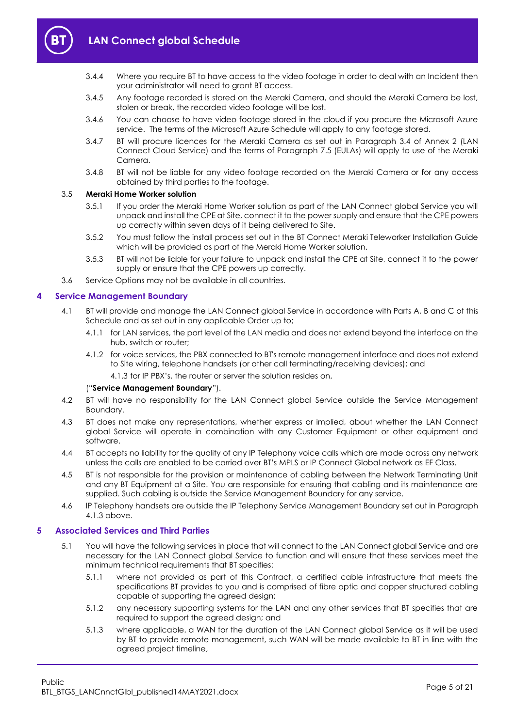

- 3.4.4 Where you require BT to have access to the video footage in order to deal with an Incident then your administrator will need to grant BT access.
- 3.4.5 Any footage recorded is stored on the Meraki Camera, and should the Meraki Camera be lost, stolen or break, the recorded video footage will be lost.
- 3.4.6 You can choose to have video footage stored in the cloud if you procure the Microsoft Azure service. The terms of the Microsoft Azure Schedule will apply to any footage stored.
- 3.4.7 BT will procure licences for the Meraki Camera as set out in Paragraph 3.4 of Annex 2 (LAN Connect Cloud Service) and the terms of Paragraph [7.5](#page-10-0) (EULAs) will apply to use of the Meraki Camera.
- 3.4.8 BT will not be liable for any video footage recorded on the Meraki Camera or for any access obtained by third parties to the footage.

#### <span id="page-4-2"></span>3.5 **Meraki Home Worker solution**

- 3.5.1 If you order the Meraki Home Worker solution as part of the LAN Connect global Service you will unpack and install the CPE at Site, connect it to the power supply and ensure that the CPE powers up correctly within seven days of it being delivered to Site.
- 3.5.2 You must follow the install process set out in the BT Connect Meraki Teleworker Installation Guide which will be provided as part of the Meraki Home Worker solution.
- 3.5.3 BT will not be liable for your failure to unpack and install the CPE at Site, connect it to the power supply or ensure that the CPE powers up correctly.
- 3.6 Service Options may not be available in all countries.

#### <span id="page-4-6"></span><span id="page-4-0"></span>**4 Service Management Boundary**

- 4.1 BT will provide and manage the LAN Connect global Service in accordance with Parts A, B and C of this Schedule and as set out in any applicable Order up to;
	- 4.1.1 for LAN services, the port level of the LAN media and does not extend beyond the interface on the hub, switch or router;
	- 4.1.2 for voice services, the PBX connected to BT's remote management interface and does not extend to Site wiring, telephone handsets (or other call terminating/receiving devices); and
		- 4.1.3 for IP PBX's, the router or server the solution resides on,

#### ("**Service Management Boundary**").

- <span id="page-4-3"></span>4.2 BT will have no responsibility for the LAN Connect global Service outside the Service Management Boundary.
- 4.3 BT does not make any representations, whether express or implied, about whether the LAN Connect global Service will operate in combination with any Customer Equipment or other equipment and software.
- 4.4 BT accepts no liability for the quality of any IP Telephony voice calls which are made across any network unless the calls are enabled to be carried over BT's MPLS or IP Connect Global network as EF Class.
- 4.5 BT is not responsible for the provision or maintenance of cabling between the Network Terminating Unit and any BT Equipment at a Site. You are responsible for ensuring that cabling and its maintenance are supplied. Such cabling is outside the Service Management Boundary for any service.
- 4.6 IP Telephony handsets are outside the IP Telephony Service Management Boundary set out in Paragraph [4.1.3](#page-4-3) above.

#### <span id="page-4-5"></span><span id="page-4-1"></span>**5 Associated Services and Third Parties**

- <span id="page-4-4"></span>5.1 You will have the following services in place that will connect to the LAN Connect global Service and are necessary for the LAN Connect global Service to function and will ensure that these services meet the minimum technical requirements that BT specifies:
	- 5.1.1 where not provided as part of this Contract, a certified cable infrastructure that meets the specifications BT provides to you and is comprised of fibre optic and copper structured cabling capable of supporting the agreed design;
	- 5.1.2 any necessary supporting systems for the LAN and any other services that BT specifies that are required to support the agreed design; and
	- 5.1.3 where applicable, a WAN for the duration of the LAN Connect alobal Service as it will be used by BT to provide remote management, such WAN will be made available to BT in line with the agreed project timeline,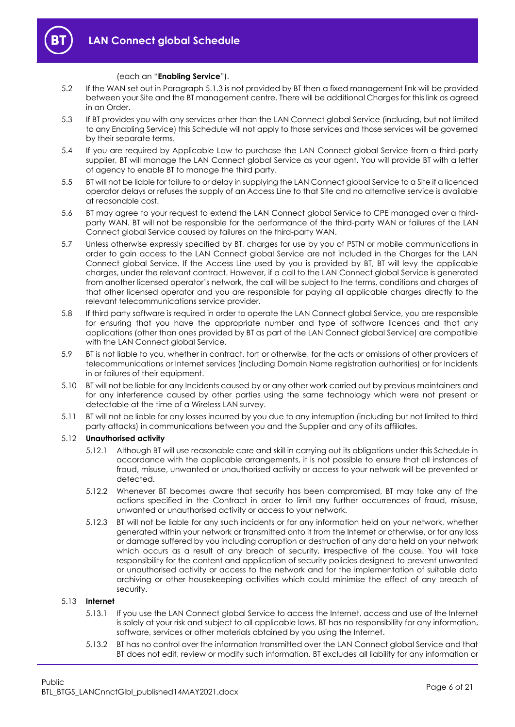

- 5.2 If the WAN set out in Paragrap[h 5.1.3](#page-4-4) is not provided by BT then a fixed management link will be provided between your Site and the BT management centre. There will be additional Charges for this link as agreed in an Order.
- 5.3 If BT provides you with any services other than the LAN Connect global Service (including, but not limited to any Enabling Service) this Schedule will not apply to those services and those services will be governed by their separate terms.
- 5.4 If you are required by Applicable Law to purchase the LAN Connect global Service from a third-party supplier, BT will manage the LAN Connect global Service as your agent. You will provide BT with a letter of agency to enable BT to manage the third party.
- 5.5 BT will not be liable for failure to or delay in supplying the LAN Connect global Service to a Site if a licenced operator delays or refuses the supply of an Access Line to that Site and no alternative service is available at reasonable cost.
- 5.6 BT may agree to your request to extend the LAN Connect global Service to CPE managed over a thirdparty WAN. BT will not be responsible for the performance of the third-party WAN or failures of the LAN Connect global Service caused by failures on the third-party WAN.
- 5.7 Unless otherwise expressly specified by BT, charges for use by you of PSTN or mobile communications in order to gain access to the LAN Connect global Service are not included in the Charges for the LAN Connect global Service. If the Access Line used by you is provided by BT, BT will levy the applicable charges, under the relevant contract. However, if a call to the LAN Connect global Service is generated from another licensed operator's network, the call will be subject to the terms, conditions and charges of that other licensed operator and you are responsible for paying all applicable charges directly to the relevant telecommunications service provider.
- 5.8 If third party software is required in order to operate the LAN Connect global Service, you are responsible for ensuring that you have the appropriate number and type of software licences and that any applications (other than ones provided by BT as part of the LAN Connect global Service) are compatible with the LAN Connect global Service.
- 5.9 BT is not liable to you, whether in contract, tort or otherwise, for the acts or omissions of other providers of telecommunications or Internet services (including Domain Name registration authorities) or for Incidents in or failures of their equipment.
- 5.10 BT will not be liable for any Incidents caused by or any other work carried out by previous maintainers and for any interference caused by other parties using the same technology which were not present or detectable at the time of a Wireless LAN survey.
- 5.11 BT will not be liable for any losses incurred by you due to any interruption (including but not limited to third party attacks) in communications between you and the Supplier and any of its affiliates.

#### 5.12 **Unauthorised activity**

- 5.12.1 Although BT will use reasonable care and skill in carrying out its obligations under this Schedule in accordance with the applicable arrangements, it is not possible to ensure that all instances of fraud, misuse, unwanted or unauthorised activity or access to your network will be prevented or detected.
- 5.12.2 Whenever BT becomes aware that security has been compromised, BT may take any of the actions specified in the Contract in order to limit any further occurrences of fraud, misuse, unwanted or unauthorised activity or access to your network.
- 5.12.3 BT will not be liable for any such incidents or for any information held on your network, whether generated within your network or transmitted onto it from the Internet or otherwise, or for any loss or damage suffered by you including corruption or destruction of any data held on your network which occurs as a result of any breach of security, irrespective of the cause. You will take responsibility for the content and application of security policies designed to prevent unwanted or unauthorised activity or access to the network and for the implementation of suitable data archiving or other housekeeping activities which could minimise the effect of any breach of security.

#### 5.13 **Internet**

- 5.13.1 If you use the LAN Connect global Service to access the Internet, access and use of the Internet is solely at your risk and subject to all applicable laws. BT has no responsibility for any information, software, services or other materials obtained by you using the Internet.
- 5.13.2 BT has no control over the information transmitted over the LAN Connect global Service and that BT does not edit, review or modify such information. BT excludes all liability for any information or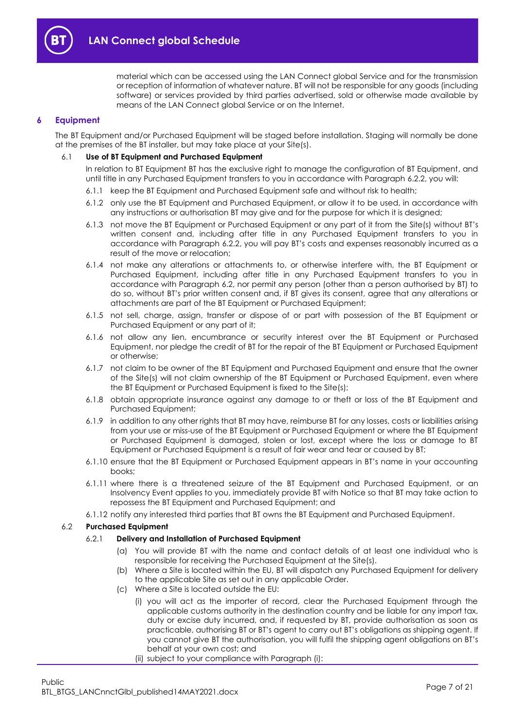

material which can be accessed using the LAN Connect global Service and for the transmission or reception of information of whatever nature. BT will not be responsible for any goods (including software) or services provided by third parties advertised, sold or otherwise made available by means of the LAN Connect global Service or on the Internet.

## <span id="page-6-0"></span>**6 Equipment**

The BT Equipment and/or Purchased Equipment will be staged before installation. Staging will normally be done at the premises of the BT installer, but may take place at your Site(s).

#### 6.1 **Use of BT Equipment and Purchased Equipment**

In relation to BT Equipment BT has the exclusive right to manage the configuration of BT Equipment, and until title in any Purchased Equipment transfers to you in accordance with Paragraph [6.2.2,](#page-7-0) you will:

- 6.1.1 keep the BT Equipment and Purchased Equipment safe and without risk to health;
- 6.1.2 only use the BT Equipment and Purchased Equipment, or allow it to be used, in accordance with any instructions or authorisation BT may give and for the purpose for which it is designed;
- 6.1.3 not move the BT Equipment or Purchased Equipment or any part of it from the Site(s) without BT's written consent and, including after title in any Purchased Equipment transfers to you in accordance with Paragraph [6.2.2](#page-7-0), you will pay BT's costs and expenses reasonably incurred as a result of the move or relocation;
- 6.1.4 not make any alterations or attachments to, or otherwise interfere with, the BT Equipment or Purchased Equipment, including after title in any Purchased Equipment transfers to you in accordance with Paragraph [6.2,](#page-6-1) nor permit any person (other than a person authorised by BT) to do so, without BT's prior written consent and, if BT gives its consent, agree that any alterations or attachments are part of the BT Equipment or Purchased Equipment;
- 6.1.5 not sell, charge, assign, transfer or dispose of or part with possession of the BT Equipment or Purchased Equipment or any part of it;
- 6.1.6 not allow any lien, encumbrance or security interest over the BT Equipment or Purchased Equipment, nor pledge the credit of BT for the repair of the BT Equipment or Purchased Equipment or otherwise;
- 6.1.7 not claim to be owner of the BT Equipment and Purchased Equipment and ensure that the owner of the Site(s) will not claim ownership of the BT Equipment or Purchased Equipment, even where the BT Equipment or Purchased Equipment is fixed to the Site(s);
- 6.1.8 obtain appropriate insurance against any damage to or theft or loss of the BT Equipment and Purchased Equipment;
- 6.1.9 in addition to any other rights that BT may have, reimburse BT for any losses, costs or liabilities arising from your use or miss-use of the BT Equipment or Purchased Equipment or where the BT Equipment or Purchased Equipment is damaged, stolen or lost, except where the loss or damage to BT Equipment or Purchased Equipment is a result of fair wear and tear or caused by BT;
- 6.1.10 ensure that the BT Equipment or Purchased Equipment appears in BT's name in your accounting books;
- 6.1.11 where there is a threatened seizure of the BT Equipment and Purchased Equipment, or an Insolvency Event applies to you, immediately provide BT with Notice so that BT may take action to repossess the BT Equipment and Purchased Equipment; and
- 6.1.12 notify any interested third parties that BT owns the BT Equipment and Purchased Equipment.

#### <span id="page-6-3"></span><span id="page-6-2"></span><span id="page-6-1"></span>6.2 **Purchased Equipment**

#### 6.2.1 **Delivery and Installation of Purchased Equipment**

- (a) You will provide BT with the name and contact details of at least one individual who is responsible for receiving the Purchased Equipment at the Site(s).
- (b) Where a Site is located within the EU, BT will dispatch any Purchased Equipment for delivery to the applicable Site as set out in any applicable Order.
- (c) Where a Site is located outside the EU:
	- (i) you will act as the importer of record, clear the Purchased Equipment through the applicable customs authority in the destination country and be liable for any import tax, duty or excise duty incurred, and, if requested by BT, provide authorisation as soon as practicable, authorising BT or BT's agent to carry out BT's obligations as shipping agent. If you cannot give BT the authorisation, you will fulfil the shipping agent obligations on BT's behalf at your own cost; and
	- (ii) subject to your compliance with Paragraph [\(i\):](#page-6-2)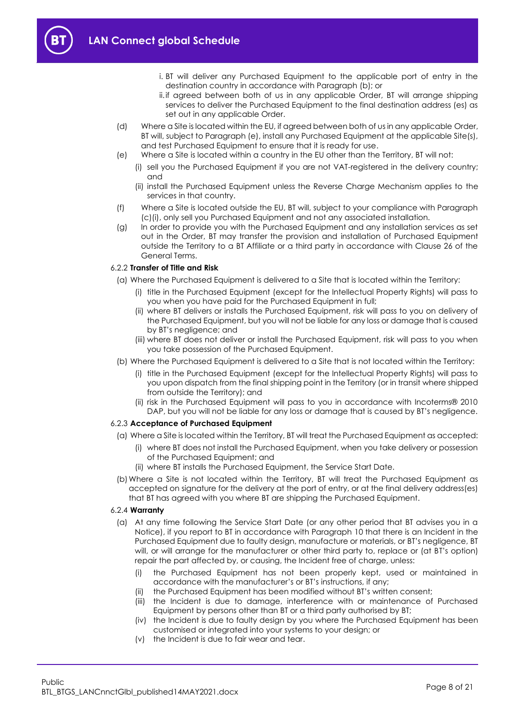- i. BT will deliver any Purchased Equipment to the applicable port of entry in the destination country in accordance with Paragrap[h \(b\);](#page-6-3) or
- ii.if agreed between both of us in any applicable Order, BT will arrange shipping services to deliver the Purchased Equipment to the final destination address (es) as set out in any applicable Order.
- (d) Where a Site is located within the EU, if agreed between both of us in any applicable Order, BT will, subject to Paragrap[h \(e\),](#page-7-1) install any Purchased Equipment at the applicable Site(s), and test Purchased Equipment to ensure that it is ready for use.
- <span id="page-7-1"></span>(e) Where a Site is located within a country in the EU other than the Territory, BT will not:
	- (i) sell you the Purchased Equipment if you are not VAT-registered in the delivery country; and
	- (ii) install the Purchased Equipment unless the Reverse Charge Mechanism applies to the services in that country.
- (f) Where a Site is located outside the EU, BT will, subject to your compliance with Paragraph [\(c\)\(i\),](#page-6-2) only sell you Purchased Equipment and not any associated installation.
- (g) In order to provide you with the Purchased Equipment and any installation services as set out in the Order, BT may transfer the provision and installation of Purchased Equipment outside the Territory to a BT Affiliate or a third party in accordance with Clause 26 of the General Terms.

#### <span id="page-7-0"></span>6.2.2 **Transfer of Title and Risk**

- (a) Where the Purchased Equipment is delivered to a Site that is located within the Territory:
	- (i) title in the Purchased Equipment (except for the Intellectual Property Rights) will pass to you when you have paid for the Purchased Equipment in full;
	- (ii) where BT delivers or installs the Purchased Equipment, risk will pass to you on delivery of the Purchased Equipment, but you will not be liable for any loss or damage that is caused by BT's negligence; and
	- (iii) where BT does not deliver or install the Purchased Equipment, risk will pass to you when you take possession of the Purchased Equipment.
- (b) Where the Purchased Equipment is delivered to a Site that is not located within the Territory:
	- (i) title in the Purchased Equipment (except for the Intellectual Property Rights) will pass to you upon dispatch from the final shipping point in the Territory (or in transit where shipped from outside the Territory); and
	- (ii) risk in the Purchased Equipment will pass to you in accordance with Incoterms® 2010 DAP, but you will not be liable for any loss or damage that is caused by BT's negligence.

#### 6.2.3 **Acceptance of Purchased Equipment**

- (a) Where a Site is located within the Territory, BT will treat the Purchased Equipment as accepted:
	- (i) where BT does not install the Purchased Equipment, when you take delivery or possession of the Purchased Equipment; and
	- (ii) where BT installs the Purchased Equipment, the Service Start Date.
- (b)Where a Site is not located within the Territory, BT will treat the Purchased Equipment as accepted on signature for the delivery at the port of entry, or at the final delivery address(es) that BT has agreed with you where BT are shipping the Purchased Equipment.

#### <span id="page-7-2"></span>6.2.4 **Warranty**

- (a) At any time following the Service Start Date (or any other period that BT advises you in a Notice), if you report to BT in accordance with Paragraph [10](#page-16-0) that there is an Incident in the Purchased Equipment due to faulty design, manufacture or materials, or BT's negligence, BT will, or will arrange for the manufacturer or other third party to, replace or (at BT's option) repair the part affected by, or causing, the Incident free of charge, unless:
	- (i) the Purchased Equipment has not been properly kept, used or maintained in accordance with the manufacturer's or BT's instructions, if any;
	- (ii) the Purchased Equipment has been modified without BT's written consent;
	- (iii) the Incident is due to damage, interference with or maintenance of Purchased Equipment by persons other than BT or a third party authorised by BT;
		- (iv) the Incident is due to faulty design by you where the Purchased Equipment has been customised or integrated into your systems to your design; or
		- (v) the Incident is due to fair wear and tear.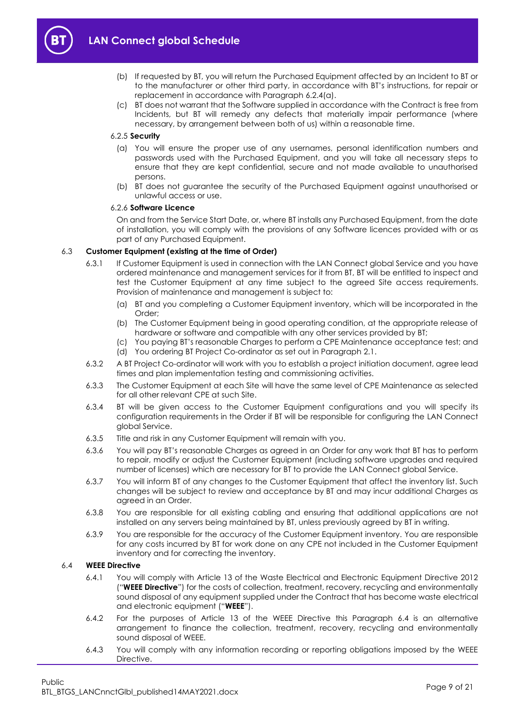

- (b) If requested by BT, you will return the Purchased Equipment affected by an Incident to BT or to the manufacturer or other third party, in accordance with BT's instructions, for repair or replacement in accordance with Paragraph [6.2.4\(a\).](#page-7-2)
- (c) BT does not warrant that the Software supplied in accordance with the Contract is free from Incidents, but BT will remedy any defects that materially impair performance (where necessary, by arrangement between both of us) within a reasonable time.

#### 6.2.5 **Security**

- (a) You will ensure the proper use of any usernames, personal identification numbers and passwords used with the Purchased Equipment, and you will take all necessary steps to ensure that they are kept confidential, secure and not made available to unauthorised persons.
- (b) BT does not guarantee the security of the Purchased Equipment against unauthorised or unlawful access or use.

#### 6.2.6 **Software Licence**

On and from the Service Start Date, or, where BT installs any Purchased Equipment, from the date of installation, you will comply with the provisions of any Software licences provided with or as part of any Purchased Equipment.

#### 6.3 **Customer Equipment (existing at the time of Order)**

- 6.3.1 If Customer Equipment is used in connection with the LAN Connect global Service and you have ordered maintenance and management services for it from BT, BT will be entitled to inspect and test the Customer Equipment at any time subject to the agreed Site access requirements. Provision of maintenance and management is subject to:
	- (a) BT and you completing a Customer Equipment inventory, which will be incorporated in the Order;
	- (b) The Customer Equipment being in good operating condition, at the appropriate release of hardware or software and compatible with any other services provided by BT;
	- (c) You paying BT's reasonable Charges to perform a CPE Maintenance acceptance test; and (d) You ordering BT Project Co-ordinator as set out in Paragraph [2.1.](#page-1-5)
- 6.3.2 A BT Project Co-ordinator will work with you to establish a project initiation document, agree lead times and plan implementation testing and commissioning activities.
- 6.3.3 The Customer Equipment at each Site will have the same level of CPE Maintenance as selected for all other relevant CPE at such Site.
- 6.3.4 BT will be given access to the Customer Equipment configurations and you will specify its configuration requirements in the Order if BT will be responsible for configuring the LAN Connect global Service.
- 6.3.5 Title and risk in any Customer Equipment will remain with you.
- 6.3.6 You will pay BT's reasonable Charges as agreed in an Order for any work that BT has to perform to repair, modify or adjust the Customer Equipment (including software upgrades and required number of licenses) which are necessary for BT to provide the LAN Connect global Service.
- 6.3.7 You will inform BT of any changes to the Customer Equipment that affect the inventory list. Such changes will be subject to review and acceptance by BT and may incur additional Charges as agreed in an Order.
- 6.3.8 You are responsible for all existing cabling and ensuring that additional applications are not installed on any servers being maintained by BT, unless previously agreed by BT in writing.
- 6.3.9 You are responsible for the accuracy of the Customer Equipment inventory. You are responsible for any costs incurred by BT for work done on any CPE not included in the Customer Equipment inventory and for correcting the inventory.

## <span id="page-8-1"></span><span id="page-8-0"></span>6.4 **WEEE Directive**

- 6.4.1 You will comply with Article 13 of the Waste Electrical and Electronic Equipment Directive 2012 ("**WEEE Directive**") for the costs of collection, treatment, recovery, recycling and environmentally sound disposal of any equipment supplied under the Contract that has become waste electrical and electronic equipment ("**WEEE**").
- 6.4.2 For the purposes of Article 13 of the WEEE Directive this Paragraph [6.4](#page-8-0) is an alternative arrangement to finance the collection, treatment, recovery, recycling and environmentally sound disposal of WEEE.
- 6.4.3 You will comply with any information recording or reporting obligations imposed by the WEEE Directive.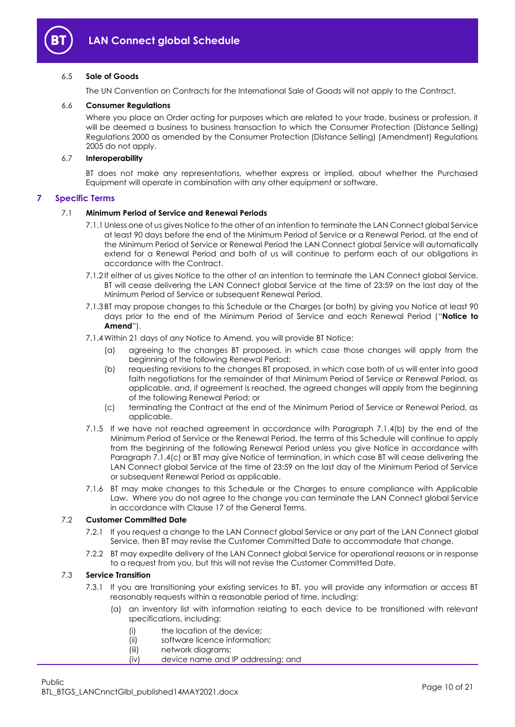

#### 6.5 **Sale of Goods**

The UN Convention on Contracts for the International Sale of Goods will not apply to the Contract.

#### 6.6 **Consumer Regulations**

Where you place an Order acting for purposes which are related to your trade, business or profession, it will be deemed a business to business transaction to which the Consumer Protection (Distance Selling) Regulations 2000 as amended by the Consumer Protection (Distance Selling) (Amendment) Regulations 2005 do not apply.

#### 6.7 **Interoperability**

BT does not make any representations, whether express or implied, about whether the Purchased Equipment will operate in combination with any other equipment or software.

#### <span id="page-9-0"></span>**7 Specific Terms**

#### 7.1 **Minimum Period of Service and Renewal Periods**

- 7.1.1Unless one of us gives Notice to the other of an intention to terminate the LAN Connect global Service at least 90 days before the end of the Minimum Period of Service or a Renewal Period, at the end of the Minimum Period of Service or Renewal Period the LAN Connect global Service will automatically extend for a Renewal Period and both of us will continue to perform each of our obligations in accordance with the Contract.
- 7.1.2 If either of us gives Notice to the other of an intention to terminate the LAN Connect global Service, BT will cease delivering the LAN Connect global Service at the time of 23:59 on the last day of the Minimum Period of Service or subsequent Renewal Period.
- <span id="page-9-4"></span>7.1.3 BT may propose changes to this Schedule or the Charges (or both) by giving you Notice at least 90 days prior to the end of the Minimum Period of Service and each Renewal Period ("**Notice to Amend**").
- <span id="page-9-1"></span>7.1.4Within 21 days of any Notice to Amend, you will provide BT Notice:
	- (a) agreeing to the changes BT proposed, in which case those changes will apply from the beginning of the following Renewal Period;
	- (b) requesting revisions to the changes BT proposed, in which case both of us will enter into good faith negotiations for the remainder of that Minimum Period of Service or Renewal Period, as applicable, and, if agreement is reached, the agreed changes will apply from the beginning of the following Renewal Period; or
	- (c) terminating the Contract at the end of the Minimum Period of Service or Renewal Period, as applicable.
- <span id="page-9-2"></span>7.1.5 If we have not reached agreement in accordance with Paragraph [7.1.4\(b\)](#page-9-1) by the end of the Minimum Period of Service or the Renewal Period, the terms of this Schedule will continue to apply from the beginning of the following Renewal Period unless you give Notice in accordance with Paragraph [7.1.4\(c\)](#page-9-2) or BT may give Notice of termination, in which case BT will cease delivering the LAN Connect global Service at the time of 23:59 on the last day of the Minimum Period of Service or subsequent Renewal Period as applicable.
- 7.1.6 BT may make changes to this Schedule or the Charges to ensure compliance with Applicable Law. Where you do not agree to the change you can terminate the LAN Connect global Service in accordance with Clause 17 of the General Terms.

### 7.2 **Customer Committed Date**

- 7.2.1 If you request a change to the LAN Connect global Service or any part of the LAN Connect global Service, then BT may revise the Customer Committed Date to accommodate that change.
- 7.2.2 BT may expedite delivery of the LAN Connect global Service for operational reasons or in response to a request from you, but this will not revise the Customer Committed Date.

## <span id="page-9-3"></span>7.3 **Service Transition**

- 7.3.1 If you are transitioning your existing services to BT, you will provide any information or access BT reasonably requests within a reasonable period of time, including:
	- (a) an inventory list with information relating to each device to be transitioned with relevant specifications, including:
		- (i) the location of the device;
		- (ii) software licence information;
		- (iii) network diagrams;
		- (iv) device name and IP addressing; and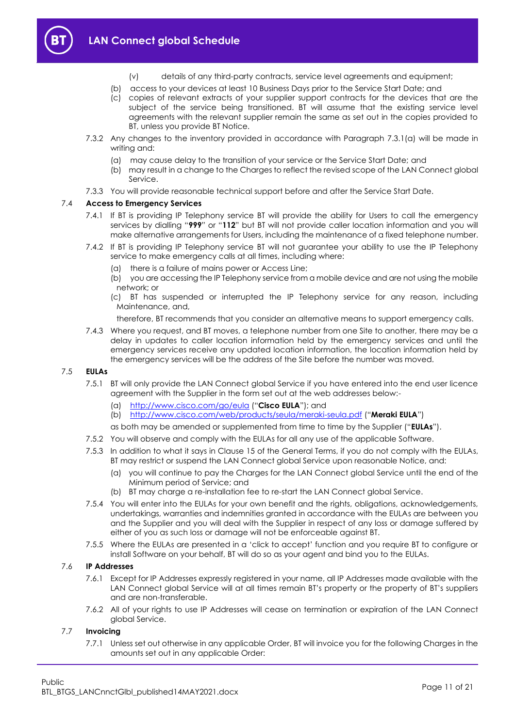

- (v) details of any third-party contracts, service level agreements and equipment;
- (b) access to your devices at least 10 Business Days prior to the Service Start Date; and
- (c) copies of relevant extracts of your supplier support contracts for the devices that are the subject of the service being transitioned. BT will assume that the existing service level agreements with the relevant supplier remain the same as set out in the copies provided to BT, unless you provide BT Notice.
- 7.3.2 Any changes to the inventory provided in accordance with Paragraph [7.3.1\(a\)](#page-9-3) will be made in writing and:
	- (a) may cause delay to the transition of your service or the Service Start Date; and
	- (b) may result in a change to the Charges to reflect the revised scope of the LAN Connect global Service.
- 7.3.3 You will provide reasonable technical support before and after the Service Start Date.

#### 7.4 **Access to Emergency Services**

- 7.4.1 If BT is providing IP Telephony service BT will provide the ability for Users to call the emergency services by dialling "**999**" or "**112**" but BT will not provide caller location information and you will make alternative arrangements for Users, including the maintenance of a fixed telephone number.
- 7.4.2 If BT is providing IP Telephony service BT will not guarantee your ability to use the IP Telephony service to make emergency calls at all times, including where:
	- (a) there is a failure of mains power or Access Line;
	- (b) you are accessing the IP Telephony service from a mobile device and are not using the mobile network; or
	- (c) BT has suspended or interrupted the IP Telephony service for any reason, including Maintenance, and,
	- therefore, BT recommends that you consider an alternative means to support emergency calls.
- 7.4.3 Where you request, and BT moves, a telephone number from one Site to another, there may be a delay in updates to caller location information held by the emergency services and until the emergency services receive any updated location information, the location information held by the emergency services will be the address of the Site before the number was moved.

#### <span id="page-10-1"></span><span id="page-10-0"></span>7.5 **EULAs**

- 7.5.1 BT will only provide the LAN Connect global Service if you have entered into the end user licence agreement with the Supplier in the form set out at the web addresses below:-
	- (a) <http://www.cisco.com/go/eula> ("**Cisco EULA**"); and
	- (b) <http://www.cisco.com/web/products/seula/meraki-seula.pdf> ("**Meraki EULA**")

as both may be amended or supplemented from time to time by the Supplier ("**EULAs**").

- 7.5.2 You will observe and comply with the EULAs for all any use of the applicable Software.
- 7.5.3 In addition to what it says in Clause 15 of the General Terms, if you do not comply with the EULAs, BT may restrict or suspend the LAN Connect global Service upon reasonable Notice, and:
	- (a) you will continue to pay the Charges for the LAN Connect global Service until the end of the Minimum period of Service; and
	- (b) BT may charge a re-installation fee to re-start the LAN Connect global Service.
- 7.5.4 You will enter into the EULAs for your own benefit and the rights, obligations, acknowledgements, undertakings, warranties and indemnities granted in accordance with the EULAs are between you and the Supplier and you will deal with the Supplier in respect of any loss or damage suffered by either of you as such loss or damage will not be enforceable against BT.
- 7.5.5 Where the EULAs are presented in a 'click to accept' function and you require BT to configure or install Software on your behalf, BT will do so as your agent and bind you to the EULAs.

#### 7.6 **IP Addresses**

- 7.6.1 Except for IP Addresses expressly registered in your name, all IP Addresses made available with the LAN Connect global Service will at all times remain BT's property or the property of BT's suppliers and are non-transferable.
- 7.6.2 All of your rights to use IP Addresses will cease on termination or expiration of the LAN Connect global Service.

#### 7.7 **Invoicing**

7.7.1 Unless set out otherwise in any applicable Order, BT will invoice you for the following Charges in the amounts set out in any applicable Order: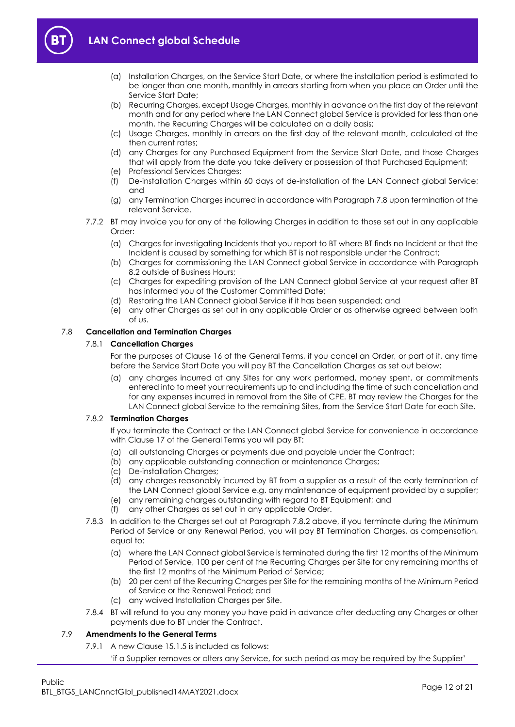



- (a) Installation Charges, on the Service Start Date, or where the installation period is estimated to be longer than one month, monthly in arrears starting from when you place an Order until the Service Start Date;
- (b) Recurring Charges, except Usage Charges, monthly in advance on the first day of the relevant month and for any period where the LAN Connect global Service is provided for less than one month, the Recurring Charges will be calculated on a daily basis;
- (c) Usage Charges, monthly in arrears on the first day of the relevant month, calculated at the then current rates;
- (d) any Charges for any Purchased Equipment from the Service Start Date, and those Charges that will apply from the date you take delivery or possession of that Purchased Equipment;
- (e) Professional Services Charges:
- (f) De-installation Charges within 60 days of de-installation of the LAN Connect global Service; and
- (g) any Termination Charges incurred in accordance with Paragraph [7.8](#page-11-0) upon termination of the relevant Service.
- 7.7.2 BT may invoice you for any of the following Charges in addition to those set out in any applicable Order:
	- (a) Charges for investigating Incidents that you report to BT where BT finds no Incident or that the Incident is caused by something for which BT is not responsible under the Contract;
	- (b) Charges for commissioning the LAN Connect global Service in accordance with Paragraph [8.2](#page-12-2) outside of Business Hours;
	- (c) Charges for expediting provision of the LAN Connect global Service at your request after BT has informed you of the Customer Committed Date;
	- (d) Restoring the LAN Connect global Service if it has been suspended; and
	- (e) any other Charges as set out in any applicable Order or as otherwise agreed between both of us.

## <span id="page-11-0"></span>7.8 **Cancellation and Termination Charges**

## 7.8.1 **Cancellation Charges**

For the purposes of Clause 16 of the General Terms, if you cancel an Order, or part of it, any time before the Service Start Date you will pay BT the Cancellation Charges as set out below:

(a) any charges incurred at any Sites for any work performed, money spent, or commitments entered into to meet your requirements up to and including the time of such cancellation and for any expenses incurred in removal from the Site of CPE. BT may review the Charges for the LAN Connect global Service to the remaining Sites, from the Service Start Date for each Site.

#### <span id="page-11-1"></span>7.8.2 **Termination Charges**

If you terminate the Contract or the LAN Connect global Service for convenience in accordance with Clause 17 of the General Terms you will pay BT:

- (a) all outstanding Charges or payments due and payable under the Contract;
- (b) any applicable outstanding connection or maintenance Charges;
- (c) De-installation Charges;
- (d) any charges reasonably incurred by BT from a supplier as a result of the early termination of the LAN Connect global Service e.g. any maintenance of equipment provided by a supplier;
- (e) any remaining charges outstanding with regard to BT Equipment; and
- (f) any other Charges as set out in any applicable Order.
- 7.8.3 In addition to the Charges set out at Paragraph [7.8.2](#page-11-1) above, if you terminate during the Minimum Period of Service or any Renewal Period, you will pay BT Termination Charges, as compensation, equal to:
	- (a) where the LAN Connect global Service is terminated during the first 12 months of the Minimum Period of Service, 100 per cent of the Recurring Charges per Site for any remaining months of the first 12 months of the Minimum Period of Service;
	- (b) 20 per cent of the Recurring Charges per Site for the remaining months of the Minimum Period of Service or the Renewal Period; and
	- (c) any waived Installation Charges per Site.
- 7.8.4 BT will refund to you any money you have paid in advance after deducting any Charges or other payments due to BT under the Contract.

## 7.9 **Amendments to the General Terms**

- 7.9.1 A new Clause 15.1.5 is included as follows:
	- 'if a Supplier removes or alters any Service, for such period as may be required by the Supplier'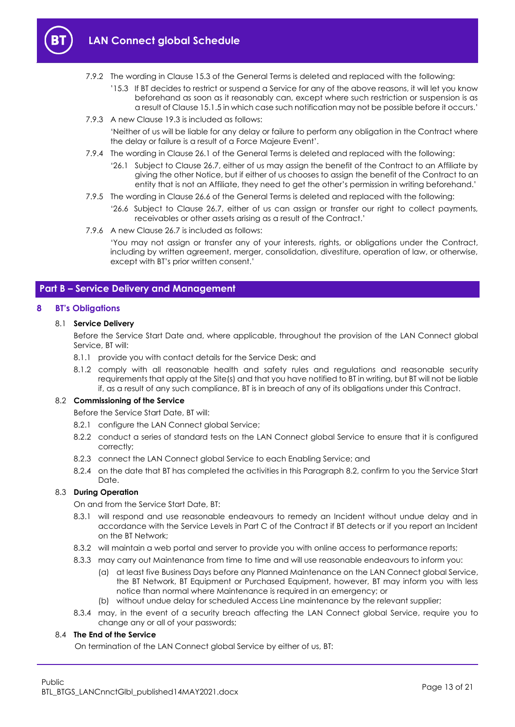



- '15.3 If BT decides to restrict or suspend a Service for any of the above reasons, it will let you know beforehand as soon as it reasonably can, except where such restriction or suspension is as a result of Clause 15.1.5 in which case such notification may not be possible before it occurs.'
- 7.9.3 A new Clause 19.3 is included as follows:

'Neither of us will be liable for any delay or failure to perform any obligation in the Contract where the delay or failure is a result of a Force Majeure Event'.

- 7.9.4 The wording in Clause 26.1 of the General Terms is deleted and replaced with the following:
	- '26.1 Subject to Clause 26.7, either of us may assign the benefit of the Contract to an Affiliate by giving the other Notice, but if either of us chooses to assign the benefit of the Contract to an entity that is not an Affiliate, they need to get the other's permission in writing beforehand.'
- 7.9.5 The wording in Clause 26.6 of the General Terms is deleted and replaced with the following:
	- '26.6 Subject to Clause 26.7, either of us can assign or transfer our right to collect payments, receivables or other assets arising as a result of the Contract.'
- 7.9.6 A new Clause 26.7 is included as follows:

'You may not assign or transfer any of your interests, rights, or obligations under the Contract, including by written agreement, merger, consolidation, divestiture, operation of law, or otherwise, except with BT's prior written consent.'

## <span id="page-12-0"></span>**Part B – Service Delivery and Management**

#### <span id="page-12-1"></span>**8 BT's Obligations**

#### 8.1 **Service Delivery**

Before the Service Start Date and, where applicable, throughout the provision of the LAN Connect global Service, BT will:

- 8.1.1 provide you with contact details for the Service Desk; and
- 8.1.2 comply with all reasonable health and safety rules and regulations and reasonable security requirements that apply at the Site(s) and that you have notified to BT in writing, but BT will not be liable if, as a result of any such compliance, BT is in breach of any of its obligations under this Contract.

#### <span id="page-12-2"></span>8.2 **Commissioning of the Service**

Before the Service Start Date, BT will:

- 8.2.1 configure the LAN Connect global Service;
- 8.2.2 conduct a series of standard tests on the LAN Connect global Service to ensure that it is configured correctly;
- 8.2.3 connect the LAN Connect global Service to each Enabling Service; and
- 8.2.4 on the date that BT has completed the activities in this Paragraph [8.2,](#page-12-2) confirm to you the Service Start Date.

#### 8.3 **During Operation**

On and from the Service Start Date, BT:

- 8.3.1 will respond and use reasonable endeavours to remedy an Incident without undue delay and in accordance with the Service Levels in Part C of the Contract if BT detects or if you report an Incident on the BT Network;
- 8.3.2 will maintain a web portal and server to provide you with online access to performance reports;
- 8.3.3 may carry out Maintenance from time to time and will use reasonable endeavours to inform you:
	- (a) at least five Business Days before any Planned Maintenance on the LAN Connect global Service, the BT Network, BT Equipment or Purchased Equipment, however, BT may inform you with less notice than normal where Maintenance is required in an emergency; or
	- (b) without undue delay for scheduled Access Line maintenance by the relevant supplier;
- 8.3.4 may, in the event of a security breach affecting the LAN Connect global Service, require you to change any or all of your passwords;

#### 8.4 **The End of the Service**

On termination of the LAN Connect global Service by either of us, BT: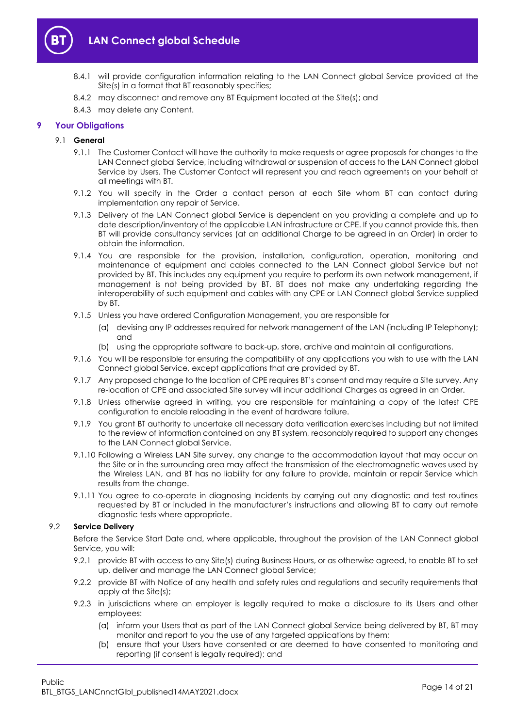

- 8.4.1 will provide configuration information relating to the LAN Connect global Service provided at the Site(s) in a format that BT reasonably specifies;
- 8.4.2 may disconnect and remove any BT Equipment located at the Site(s); and
- 8.4.3 may delete any Content.

## <span id="page-13-0"></span>**9 Your Obligations**

#### 9.1 **General**

- 9.1.1 The Customer Contact will have the authority to make requests or agree proposals for changes to the LAN Connect global Service, including withdrawal or suspension of access to the LAN Connect global Service by Users. The Customer Contact will represent you and reach agreements on your behalf at all meetings with BT.
- 9.1.2 You will specify in the Order a contact person at each Site whom BT can contact during implementation any repair of Service.
- 9.1.3 Delivery of the LAN Connect global Service is dependent on you providing a complete and up to date description/inventory of the applicable LAN infrastructure or CPE. If you cannot provide this, then BT will provide consultancy services (at an additional Charge to be agreed in an Order) in order to obtain the information.
- 9.1.4 You are responsible for the provision, installation, configuration, operation, monitoring and maintenance of equipment and cables connected to the LAN Connect global Service but not provided by BT. This includes any equipment you require to perform its own network management, if management is not being provided by BT. BT does not make any undertaking regarding the interoperability of such equipment and cables with any CPE or LAN Connect global Service supplied by BT.
- 9.1.5 Unless you have ordered Configuration Management, you are responsible for
	- (a) devising any IP addresses required for network management of the LAN (including IP Telephony); and
	- (b) using the appropriate software to back-up, store, archive and maintain all configurations.
- 9.1.6 You will be responsible for ensuring the compatibility of any applications you wish to use with the LAN Connect global Service, except applications that are provided by BT.
- 9.1.7 Any proposed change to the location of CPE requires BT's consent and may require a Site survey. Any re-location of CPE and associated Site survey will incur additional Charges as agreed in an Order.
- 9.1.8 Unless otherwise agreed in writing, you are responsible for maintaining a copy of the latest CPE configuration to enable reloading in the event of hardware failure.
- 9.1.9 You grant BT authority to undertake all necessary data verification exercises including but not limited to the review of information contained on any BT system, reasonably required to support any changes to the LAN Connect global Service.
- 9.1.10 Following a Wireless LAN Site survey, any change to the accommodation layout that may occur on the Site or in the surrounding area may affect the transmission of the electromagnetic waves used by the Wireless LAN, and BT has no liability for any failure to provide, maintain or repair Service which results from the change.
- 9.1.11 You agree to co-operate in diagnosing Incidents by carrying out any diagnostic and test routines requested by BT or included in the manufacturer's instructions and allowing BT to carry out remote diagnostic tests where appropriate.

### 9.2 **Service Delivery**

Before the Service Start Date and, where applicable, throughout the provision of the LAN Connect global Service, you will:

- 9.2.1 provide BT with access to any Site(s) during Business Hours, or as otherwise agreed, to enable BT to set up, deliver and manage the LAN Connect global Service;
- 9.2.2 provide BT with Notice of any health and safety rules and regulations and security requirements that apply at the Site(s);
- <span id="page-13-1"></span>9.2.3 in jurisdictions where an employer is legally required to make a disclosure to its Users and other employees:
	- (a) inform your Users that as part of the LAN Connect global Service being delivered by BT, BT may monitor and report to you the use of any targeted applications by them;
	- (b) ensure that your Users have consented or are deemed to have consented to monitoring and reporting (if consent is legally required); and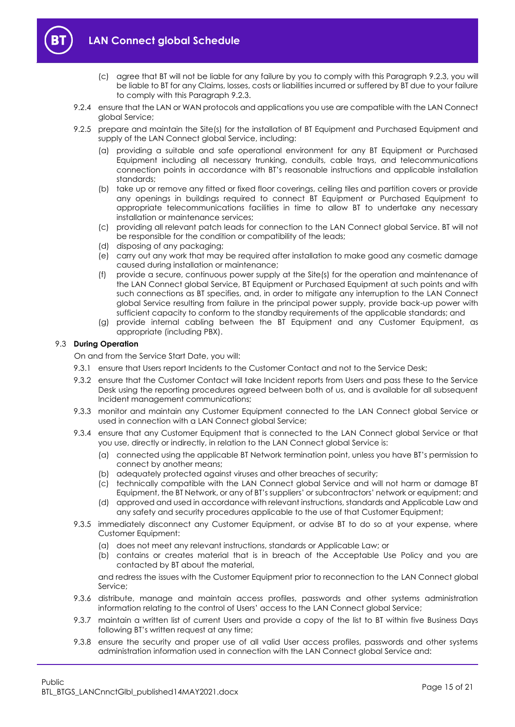



- (c) agree that BT will not be liable for any failure by you to comply with this Paragraph [9.2.3,](#page-13-1) you will be liable to BT for any Claims, losses, costs or liabilities incurred or suffered by BT due to your failure to comply with this Paragrap[h 9.2.3.](#page-13-1)
- 9.2.4 ensure that the LAN or WAN protocols and applications you use are compatible with the LAN Connect global Service;
- 9.2.5 prepare and maintain the Site(s) for the installation of BT Equipment and Purchased Equipment and supply of the LAN Connect global Service, including:
	- (a) providing a suitable and safe operational environment for any BT Equipment or Purchased Equipment including all necessary trunking, conduits, cable trays, and telecommunications connection points in accordance with BT's reasonable instructions and applicable installation standards;
	- (b) take up or remove any fitted or fixed floor coverings, ceiling tiles and partition covers or provide any openings in buildings required to connect BT Equipment or Purchased Equipment to appropriate telecommunications facilities in time to allow BT to undertake any necessary installation or maintenance services;
	- (c) providing all relevant patch leads for connection to the LAN Connect global Service. BT will not be responsible for the condition or compatibility of the leads;
	- (d) disposing of any packaging;
	- (e) carry out any work that may be required after installation to make good any cosmetic damage caused during installation or maintenance;
	- (f) provide a secure, continuous power supply at the Site(s) for the operation and maintenance of the LAN Connect global Service, BT Equipment or Purchased Equipment at such points and with such connections as BT specifies, and, in order to mitigate any interruption to the LAN Connect global Service resulting from failure in the principal power supply, provide back-up power with sufficient capacity to conform to the standby requirements of the applicable standards; and
	- (g) provide internal cabling between the BT Equipment and any Customer Equipment, as appropriate (including PBX).

#### 9.3 **During Operation**

On and from the Service Start Date, you will:

- 9.3.1 ensure that Users report Incidents to the Customer Contact and not to the Service Desk;
- 9.3.2 ensure that the Customer Contact will take Incident reports from Users and pass these to the Service Desk using the reporting procedures agreed between both of us, and is available for all subsequent Incident management communications;
- 9.3.3 monitor and maintain any Customer Equipment connected to the LAN Connect global Service or used in connection with a LAN Connect global Service;
- 9.3.4 ensure that any Customer Equipment that is connected to the LAN Connect global Service or that you use, directly or indirectly, in relation to the LAN Connect global Service is:
	- (a) connected using the applicable BT Network termination point, unless you have BT's permission to connect by another means;
	- (b) adequately protected against viruses and other breaches of security;
	- (c) technically compatible with the LAN Connect global Service and will not harm or damage BT Equipment, the BT Network, or any of BT's suppliers' or subcontractors' network or equipment; and
	- (d) approved and used in accordance with relevant instructions, standards and Applicable Law and any safety and security procedures applicable to the use of that Customer Equipment;
- 9.3.5 immediately disconnect any Customer Equipment, or advise BT to do so at your expense, where Customer Equipment:
	- (a) does not meet any relevant instructions, standards or Applicable Law; or
	- (b) contains or creates material that is in breach of the Acceptable Use Policy and you are contacted by BT about the material,

and redress the issues with the Customer Equipment prior to reconnection to the LAN Connect global Service;

- 9.3.6 distribute, manage and maintain access profiles, passwords and other systems administration information relating to the control of Users' access to the LAN Connect global Service;
- 9.3.7 maintain a written list of current Users and provide a copy of the list to BT within five Business Days following BT's written request at any time;
- 9.3.8 ensure the security and proper use of all valid User access profiles, passwords and other systems administration information used in connection with the LAN Connect global Service and: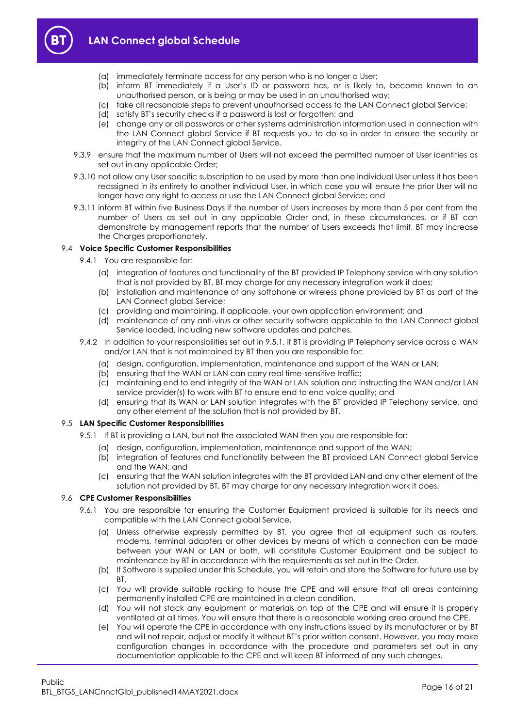



- (a) immediately terminate access for any person who is no longer a User;
- (b) inform BT immediately if a User's ID or password has, or is likely to, become known to an unauthorised person, or is being or may be used in an unauthorised way;
- (c) take all reasonable steps to prevent unauthorised access to the LAN Connect global Service;
- (d) satisfy BT's security checks if a password is lost or forgotten; and
- (e) change any or all passwords or other systems administration information used in connection with the LAN Connect global Service if BT requests you to do so in order to ensure the security or integrity of the LAN Connect global Service.
- 9.3.9 ensure that the maximum number of Users will not exceed the permitted number of User identities as set out in any applicable Order;
- 9.3.10 not allow any User specific subscription to be used by more than one individual User unless it has been reassigned in its entirety to another individual User, in which case you will ensure the prior User will no longer have any right to access or use the LAN Connect global Service; and
- 9.3.11 inform BT within five Business Days if the number of Users increases by more than 5 per cent from the number of Users as set out in any applicable Order and, in these circumstances, or if BT can demonstrate by management reports that the number of Users exceeds that limit, BT may increase the Charges proportionately.

#### 9.4 **Voice Specific Customer Responsibilities**

- 9.4.1 You are responsible for:
	- (a) integration of features and functionality of the BT provided IP Telephony service with any solution that is not provided by BT. BT may charge for any necessary integration work it does;
	- (b) installation and maintenance of any softphone or wireless phone provided by BT as part of the LAN Connect global Service;
	- (c) providing and maintaining, if applicable, your own application environment; and
	- (d) maintenance of any anti-virus or other security software applicable to the LAN Connect global Service loaded, including new software updates and patches.
- 9.4.2 In addition to your responsibilities set out in [9.5.1,](#page-15-0) if BT is providing IP Telephony service across a WAN and/or LAN that is not maintained by BT then you are responsible for:
	- (a) design, configuration, implementation, maintenance and support of the WAN or LAN;
	- (b) ensuring that the WAN or LAN can carry real time-sensitive traffic;
	- (c) maintaining end to end integrity of the WAN or LAN solution and instructing the WAN and/or LAN service provider(s) to work with BT to ensure end to end voice quality; and
	- (d) ensuring that its WAN or LAN solution integrates with the BT provided IP Telephony service, and any other element of the solution that is not provided by BT.

#### <span id="page-15-0"></span>9.5 **LAN Specific Customer Responsibilities**

- 9.5.1 If BT is providing a LAN, but not the associated WAN then you are responsible for:
	- (a) design, configuration, implementation, maintenance and support of the WAN;
	- (b) integration of features and functionality between the BT provided LAN Connect global Service and the WAN; and
	- (c) ensuring that the WAN solution integrates with the BT provided LAN and any other element of the solution not provided by BT. BT may charge for any necessary integration work it does.

#### 9.6 **CPE Customer Responsibilities**

- 9.6.1 You are responsible for ensuring the Customer Equipment provided is suitable for its needs and compatible with the LAN Connect global Service.
	- (a) Unless otherwise expressly permitted by BT, you agree that all equipment such as routers, modems, terminal adapters or other devices by means of which a connection can be made between your WAN or LAN or both, will constitute Customer Equipment and be subject to maintenance by BT in accordance with the requirements as set out in the Order.
	- (b) If Software is supplied under this Schedule, you will retain and store the Software for future use by BT.
	- (c) You will provide suitable racking to house the CPE and will ensure that all areas containing permanently installed CPE are maintained in a clean condition.
	- (d) You will not stack any equipment or materials on top of the CPE and will ensure it is properly ventilated at all times. You will ensure that there is a reasonable working area around the CPE.
	- (e) You will operate the CPE in accordance with any instructions issued by its manufacturer or by BT and will not repair, adjust or modify it without BT's prior written consent. However, you may make configuration changes in accordance with the procedure and parameters set out in any documentation applicable to the CPE and will keep BT informed of any such changes.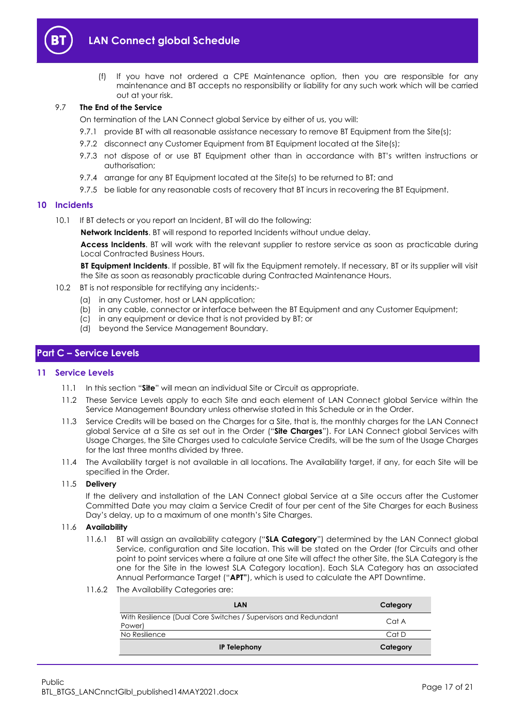

(f) If you have not ordered a CPE Maintenance option, then you are responsible for any maintenance and BT accepts no responsibility or liability for any such work which will be carried out at your risk.

#### 9.7 **The End of the Service**

On termination of the LAN Connect global Service by either of us, you will:

- 9.7.1 provide BT with all reasonable assistance necessary to remove BT Equipment from the Site(s);
- 9.7.2 disconnect any Customer Equipment from BT Equipment located at the Site(s);
- 9.7.3 not dispose of or use BT Equipment other than in accordance with BT's written instructions or authorisation;
- 9.7.4 arrange for any BT Equipment located at the Site(s) to be returned to BT; and
- 9.7.5 be liable for any reasonable costs of recovery that BT incurs in recovering the BT Equipment.

#### <span id="page-16-3"></span><span id="page-16-0"></span>**10 Incidents**

10.1 If BT detects or you report an Incident, BT will do the following:

**Network Incidents**. BT will respond to reported Incidents without undue delay.

**Access Incidents**. BT will work with the relevant supplier to restore service as soon as practicable during Local Contracted Business Hours.

**BT Equipment Incidents**. If possible, BT will fix the Equipment remotely. If necessary, BT or its supplier will visit the Site as soon as reasonably practicable during Contracted Maintenance Hours.

- 10.2 BT is not responsible for rectifying any incidents:-
	- (a) in any Customer, host or LAN application;
	- (b) in any cable, connector or interface between the BT Equipment and any Customer Equipment;
	- (c) in any equipment or device that is not provided by BT; or
	- (d) beyond the Service Management Boundary.

## <span id="page-16-1"></span>**Part C – Service Levels**

#### <span id="page-16-2"></span>**11 Service Levels**

- 11.1 In this section "**Site**" will mean an individual Site or Circuit as appropriate.
- 11.2 These Service Levels apply to each Site and each element of LAN Connect global Service within the Service Management Boundary unless otherwise stated in this Schedule or in the Order.
- <span id="page-16-4"></span>11.3 Service Credits will be based on the Charges for a Site, that is, the monthly charges for the LAN Connect global Service at a Site as set out in the Order ("**Site Charges**"). For LAN Connect global Services with Usage Charges, the Site Charges used to calculate Service Credits, will be the sum of the Usage Charges for the last three months divided by three.
- 11.4 The Availability target is not available in all locations. The Availability target, if any, for each Site will be specified in the Order.

#### 11.5 **Delivery**

If the delivery and installation of the LAN Connect global Service at a Site occurs after the Customer Committed Date you may claim a Service Credit of four per cent of the Site Charges for each Business Day's delay, up to a maximum of one month's Site Charges.

#### <span id="page-16-5"></span>11.6 **Availability**

- 11.6.1 BT will assign an availability category ("**SLA Category**") determined by the LAN Connect global Service, configuration and Site location. This will be stated on the Order (for Circuits and other point to point services where a failure at one Site will affect the other Site, the SLA Category is the one for the Site in the lowest SLA Category location). Each SLA Category has an associated Annual Performance Target ("**APT"**), which is used to calculate the APT Downtime.
- 11.6.2 The Availability Categories are:

| <b>LAN</b>                                                                | Category |
|---------------------------------------------------------------------------|----------|
| With Resilience (Dual Core Switches / Supervisors and Redundant<br>Power) | Cat A    |
| No Resilience                                                             | Cat D    |
| <b>IP Telephony</b>                                                       | Category |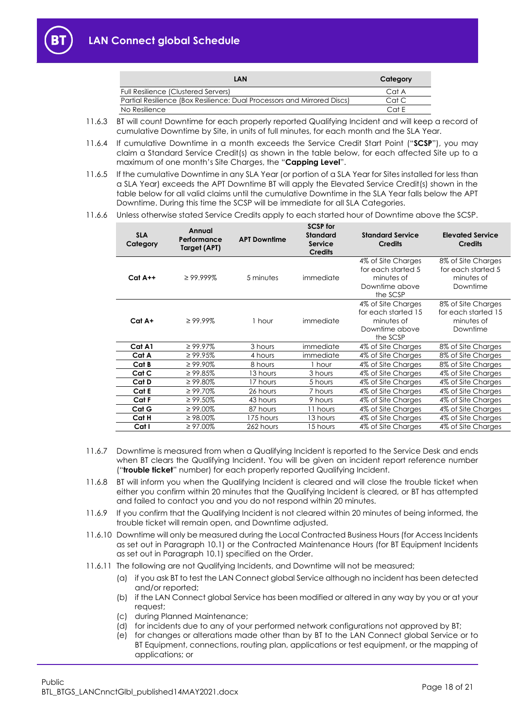

- 11.6.3 BT will count Downtime for each properly reported Qualifying Incident and will keep a record of cumulative Downtime by Site, in units of full minutes, for each month and the SLA Year.
- 11.6.4 If cumulative Downtime in a month exceeds the Service Credit Start Point ("**SCSP**"), you may claim a Standard Service Credit(s) as shown in the table below, for each affected Site up to a maximum of one month's Site Charges, the "**Capping Level**".
- 11.6.5 If the cumulative Downtime in any SLA Year (or portion of a SLA Year for Sites installed for less than a SLA Year) exceeds the APT Downtime BT will apply the Elevated Service Credit(s) shown in the table below for all valid claims until the cumulative Downtime in the SLA Year falls below the APT Downtime. During this time the SCSP will be immediate for all SLA Categories.
- 11.6.6 Unless otherwise stated Service Credits apply to each started hour of Downtime above the SCSP.

| <b>SLA</b><br>Category | Annual<br>Performance<br>Target (APT) | <b>APT Downtime</b> | <b>SCSP for</b><br><b>Standard</b><br><b>Service</b><br><b>Credits</b> | <b>Standard Service</b><br><b>Credits</b>                                             | <b>Elevated Service</b><br><b>Credits</b>                           |
|------------------------|---------------------------------------|---------------------|------------------------------------------------------------------------|---------------------------------------------------------------------------------------|---------------------------------------------------------------------|
| $Cat A++$              | $\geq$ 99.999%                        | 5 minutes           | immediate                                                              | 4% of Site Charges<br>for each started 5<br>minutes of<br>Downtime above<br>the SCSP  | 8% of Site Charges<br>for each started 5<br>minutes of<br>Downtime  |
| $Cat A+$               | $\geq 99.99\%$                        | 1 hour              | immediate                                                              | 4% of Site Charges<br>for each started 15<br>minutes of<br>Downtime above<br>the SCSP | 8% of Site Charges<br>for each started 15<br>minutes of<br>Downtime |
| Cat A1                 | $\geq 99.97\%$                        | 3 hours             | immediate                                                              | 4% of Site Charges                                                                    | 8% of Site Charges                                                  |
| Cat A                  | $\geq 99.95\%$                        | 4 hours             | immediate                                                              | 4% of Site Charges                                                                    | 8% of Site Charges                                                  |
| Cat B                  | $\geq 99.90\%$                        | 8 hours             | 1 hour                                                                 | 4% of Site Charges                                                                    | 8% of Site Charges                                                  |
| Cat C                  | $\geq 99.85\%$                        | 13 hours            | 3 hours                                                                | 4% of Site Charges                                                                    | 4% of Site Charges                                                  |
| Cat D                  | $\geq 99.80\%$                        | 17 hours            | 5 hours                                                                | 4% of Site Charges                                                                    | 4% of Site Charges                                                  |
| Cat E                  | $\geq 99.70\%$                        | 26 hours            | 7 hours                                                                | 4% of Site Charges                                                                    | 4% of Site Charges                                                  |
| Cat F                  | $\geq 99.50\%$                        | 43 hours            | 9 hours                                                                | 4% of Site Charges                                                                    | 4% of Site Charges                                                  |
| Cat G                  | $\geq 99.00\%$                        | 87 hours            | 11 hours                                                               | 4% of Site Charges                                                                    | 4% of Site Charges                                                  |
| Cat H                  | $\geq 98.00\%$                        | 175 hours           | 13 hours                                                               | 4% of Site Charges                                                                    | 4% of Site Charges                                                  |
| Cat I                  | $\geq 97.00\%$                        | 262 hours           | 15 hours                                                               | 4% of Site Charges                                                                    | 4% of Site Charges                                                  |

- 11.6.7 Downtime is measured from when a Qualifying Incident is reported to the Service Desk and ends when BT clears the Qualifying Incident. You will be given an incident report reference number ("**trouble ticket**" number) for each properly reported Qualifying Incident.
- 11.6.8 BT will inform you when the Qualifying Incident is cleared and will close the trouble ticket when either you confirm within 20 minutes that the Qualifying Incident is cleared, or BT has attempted and failed to contact you and you do not respond within 20 minutes.
- 11.6.9 If you confirm that the Qualifying Incident is not cleared within 20 minutes of being informed, the trouble ticket will remain open, and Downtime adjusted.
- 11.6.10 Downtime will only be measured during the Local Contracted Business Hours (for Access Incidents as set out in Paragraph [10.1\)](#page-16-3) or the Contracted Maintenance Hours (for BT Equipment Incidents as set out in Paragraph [10.1\)](#page-16-3) specified on the Order.
- 11.6.11 The following are not Qualifying Incidents, and Downtime will not be measured;
	- (a) if you ask BT to test the LAN Connect global Service although no incident has been detected and/or reported;
	- (b) if the LAN Connect global Service has been modified or altered in any way by you or at your request;
	- (c) during Planned Maintenance;
	- (d) for incidents due to any of your performed network configurations not approved by BT;
	- (e) for changes or alterations made other than by BT to the LAN Connect global Service or to BT Equipment, connections, routing plan, applications or test equipment, or the mapping of applications; or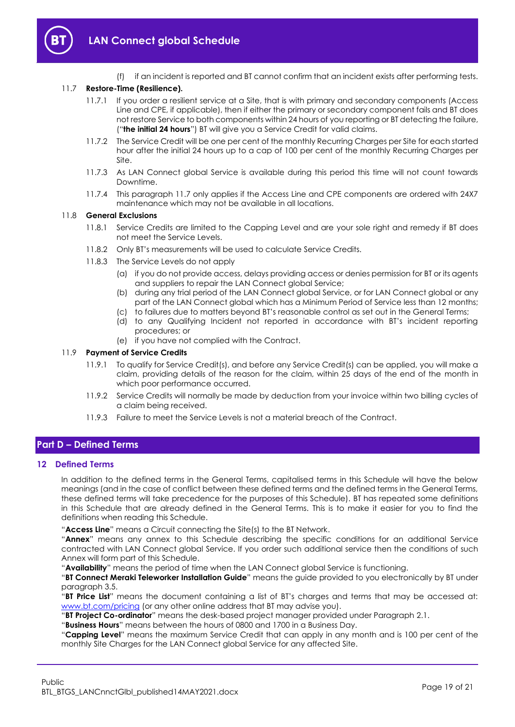

(f) if an incident is reported and BT cannot confirm that an incident exists after performing tests.

## <span id="page-18-2"></span>11.7 **Restore-Time (Resilience).**

- 11.7.1 If you order a resilient service at a Site, that is with primary and secondary components (Access Line and CPE, if applicable), then if either the primary or secondary component fails and BT does not restore Service to both components within 24 hours of you reporting or BT detecting the failure, ("**the initial 24 hours**") BT will give you a Service Credit for valid claims.
- 11.7.2 The Service Credit will be one per cent of the monthly Recurring Charges per Site for each started hour after the initial 24 hours up to a cap of 100 per cent of the monthly Recurring Charges per Site.
- 11.7.3 As LAN Connect global Service is available during this period this time will not count towards Downtime.
- 11.7.4 This paragrap[h 11.7](#page-18-2) only applies if the Access Line and CPE components are ordered with 24X7 maintenance which may not be available in all locations.

#### 11.8 **General Exclusions**

- 11.8.1 Service Credits are limited to the Capping Level and are your sole right and remedy if BT does not meet the Service Levels.
- 11.8.2 Only BT's measurements will be used to calculate Service Credits.
- 11.8.3 The Service Levels do not apply
	- (a) if you do not provide access, delays providing access or denies permission for BT or its agents and suppliers to repair the LAN Connect global Service;
	- (b) during any trial period of the LAN Connect global Service, or for LAN Connect global or any part of the LAN Connect global which has a Minimum Period of Service less than 12 months;
	- (c) to failures due to matters beyond BT's reasonable control as set out in the General Terms;
	- (d) to any Qualifying Incident not reported in accordance with BT's incident reporting procedures; or
	- (e) if you have not complied with the Contract.

#### 11.9 **Payment of Service Credits**

- 11.9.1 To qualify for Service Credit(s), and before any Service Credit(s) can be applied, you will make a claim, providing details of the reason for the claim, within 25 days of the end of the month in which poor performance occurred.
- 11.9.2 Service Credits will normally be made by deduction from your invoice within two billing cycles of a claim being received.
- 11.9.3 Failure to meet the Service Levels is not a material breach of the Contract.

## <span id="page-18-0"></span>**Part D – Defined Terms**

#### <span id="page-18-1"></span>**12 Defined Terms**

In addition to the defined terms in the General Terms, capitalised terms in this Schedule will have the below meanings (and in the case of conflict between these defined terms and the defined terms in the General Terms, these defined terms will take precedence for the purposes of this Schedule). BT has repeated some definitions in this Schedule that are already defined in the General Terms. This is to make it easier for you to find the definitions when reading this Schedule.

"**Access Line**" means a Circuit connecting the Site(s) to the BT Network.

"**Annex**" means any annex to this Schedule describing the specific conditions for an additional Service contracted with LAN Connect global Service. If you order such additional service then the conditions of such Annex will form part of this Schedule.

"**Availability**" means the period of time when the LAN Connect global Service is functioning.

"**BT Connect Meraki Teleworker Installation Guide**" means the guide provided to you electronically by BT under paragraph [3.5.](#page-4-2)

"**BT Price List**" means the document containing a list of BT's charges and terms that may be accessed at: [www.bt.com/pricing](http://www.bt.com/pricing) (or any other online address that BT may advise you).

"**BT Project Co-ordinator**" means the desk-based project manager provided under Paragrap[h 2.1.](#page-1-5)

"**Business Hours**" means between the hours of 0800 and 1700 in a Business Day.

"**Capping Level**" means the maximum Service Credit that can apply in any month and is 100 per cent of the monthly Site Charges for the LAN Connect global Service for any affected Site.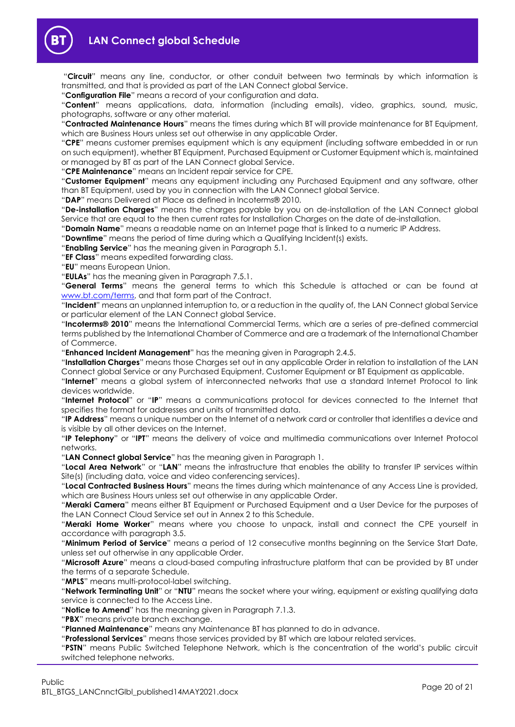

"**Circuit**" means any line, conductor, or other conduit between two terminals by which information is transmitted, and that is provided as part of the LAN Connect global Service.

"**Configuration File**" means a record of your configuration and data.

"**Content**" means applications, data, information (including emails), video, graphics, sound, music, photographs, software or any other material.

"**Contracted Maintenance Hours**" means the times during which BT will provide maintenance for BT Equipment, which are Business Hours unless set out otherwise in any applicable Order.

"**CPE**" means customer premises equipment which is any equipment (including software embedded in or run on such equipment), whether BT Equipment, Purchased Equipment or Customer Equipment which is, maintained or managed by BT as part of the LAN Connect global Service.

"**CPE Maintenance**" means an Incident repair service for CPE.

"**Customer Equipment**" means any equipment including any Purchased Equipment and any software, other than BT Equipment, used by you in connection with the LAN Connect global Service.

"**DAP**" means Delivered at Place as defined in Incoterms® 2010.

"**De-installation Charges**" means the charges payable by you on de-installation of the LAN Connect global Service that are equal to the then current rates for Installation Charges on the date of de-installation.

"**Domain Name**" means a readable name on an Internet page that is linked to a numeric IP Address.

"**Downtime**" means the period of time during which a Qualifying Incident(s) exists.

"**Enabling Service**" has the meaning given in Paragrap[h 5.1.](#page-4-5)

"**EF Class**" means expedited forwarding class.

"**EU**" means European Union.

"**EULAs**" has the meaning given in Paragraph [7.5.1.](#page-10-1)

"**General Terms**" means the general terms to which this Schedule is attached or can be found at [www.bt.com/terms,](http://www.bt.com/terms) and that form part of the Contract.

"**Incident**" means an unplanned interruption to, or a reduction in the quality of, the LAN Connect global Service or particular element of the LAN Connect global Service.

"**Incoterms® 2010**" means the International Commercial Terms, which are a series of pre-defined commercial terms published by the International Chamber of Commerce and are a trademark of the International Chamber of Commerce.

"**Enhanced Incident Management**" has the meaning given in Paragrap[h 2.4.5.](#page-3-2)

"**Installation Charges**" means those Charges set out in any applicable Order in relation to installation of the LAN Connect global Service or any Purchased Equipment, Customer Equipment or BT Equipment as applicable.

"**Internet**" means a global system of interconnected networks that use a standard Internet Protocol to link devices worldwide.

"**Internet Protocol**" or "**IP**" means a communications protocol for devices connected to the Internet that specifies the format for addresses and units of transmitted data.

"**IP Address**" means a unique number on the Internet of a network card or controller that identifies a device and is visible by all other devices on the Internet.

"**IP Telephony**" or "**IPT**" means the delivery of voice and multimedia communications over Internet Protocol networks.

"**LAN Connect global Service**" has the meaning given in Paragraph [1.](#page-1-3)

"**Local Area Network**" or "**LAN**" means the infrastructure that enables the ability to transfer IP services within Site(s) (including data, voice and video conferencing services).

"**Local Contracted Business Hours**" means the times during which maintenance of any Access Line is provided, which are Business Hours unless set out otherwise in any applicable Order.

"**Meraki Camera**" means either BT Equipment or Purchased Equipment and a User Device for the purposes of the LAN Connect Cloud Service set out in Annex 2 to this Schedule.

"**Meraki Home Worker**" means where you choose to unpack, install and connect the CPE yourself in accordance with paragrap[h 3.5.](#page-4-2)

"**Minimum Period of Service**" means a period of 12 consecutive months beginning on the Service Start Date, unless set out otherwise in any applicable Order.

"**Microsoft Azure**" means a cloud-based computing infrastructure platform that can be provided by BT under the terms of a separate Schedule.

"**MPLS**" means multi-protocol-label switching.

"**Network Terminating Unit**" or "**NTU**" means the socket where your wiring, equipment or existing qualifying data service is connected to the Access Line.

"**Notice to Amend**" has the meaning given in Paragraph [7.1.3.](#page-9-4)

"**PBX**" means private branch exchange.

"**Planned Maintenance**" means any Maintenance BT has planned to do in advance.

"**Professional Services**" means those services provided by BT which are labour related services.

"**PSTN**" means Public Switched Telephone Network, which is the concentration of the world's public circuit switched telephone networks.